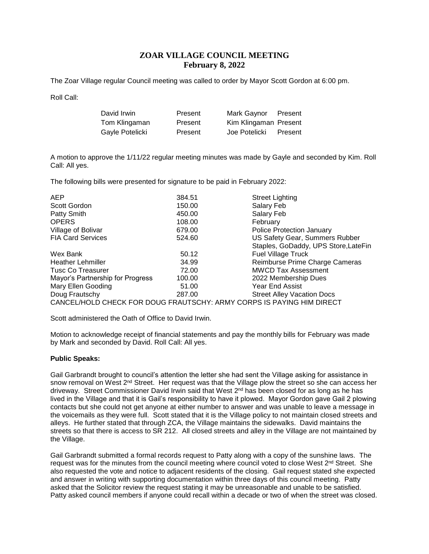# **ZOAR VILLAGE COUNCIL MEETING February 8, 2022**

The Zoar Village regular Council meeting was called to order by Mayor Scott Gordon at 6:00 pm.

Roll Call:

| David Irwin     | Present | Mark Gaynor           | Present |
|-----------------|---------|-----------------------|---------|
| Tom Klingaman   | Present | Kim Klingaman Present |         |
| Gayle Potelicki | Present | Joe Potelicki         | Present |

A motion to approve the 1/11/22 regular meeting minutes was made by Gayle and seconded by Kim. Roll Call: All yes.

The following bills were presented for signature to be paid in February 2022:

| <b>AEP</b>                       | 384.51 | <b>Street Lighting</b>                                                |
|----------------------------------|--------|-----------------------------------------------------------------------|
| Scott Gordon                     | 150.00 | Salary Feb                                                            |
| Patty Smith                      | 450.00 | Salary Feb                                                            |
| <b>OPERS</b>                     | 108.00 | February                                                              |
| Village of Bolivar               | 679.00 | <b>Police Protection January</b>                                      |
| <b>FIA Card Services</b>         | 524.60 | US Safety Gear, Summers Rubber                                        |
|                                  |        | Staples, GoDaddy, UPS Store, LateFin                                  |
| Wex Bank                         | 50.12  | <b>Fuel Village Truck</b>                                             |
| <b>Heather Lehmiller</b>         | 34.99  | Reimburse Prime Charge Cameras                                        |
| <b>Tusc Co Treasurer</b>         | 72.00  | <b>MWCD Tax Assessment</b>                                            |
| Mayor's Partnership for Progress | 100.00 | 2022 Membership Dues                                                  |
| Mary Ellen Gooding               | 51.00  | Year End Assist                                                       |
| Doug Frautschy                   | 287.00 | <b>Street Alley Vacation Docs</b>                                     |
|                                  |        | CANCEL/HOLD CHECK FOR DOUG FRAUTSCHY: ARMY CORPS IS PAYING HIM DIRECT |

Scott administered the Oath of Office to David Irwin.

Motion to acknowledge receipt of financial statements and pay the monthly bills for February was made by Mark and seconded by David. Roll Call: All yes.

## **Public Speaks:**

Gail Garbrandt brought to council's attention the letter she had sent the Village asking for assistance in snow removal on West 2<sup>nd</sup> Street. Her request was that the Village plow the street so she can access her driveway. Street Commissioner David Irwin said that West 2<sup>nd</sup> has been closed for as long as he has lived in the Village and that it is Gail's responsibility to have it plowed. Mayor Gordon gave Gail 2 plowing contacts but she could not get anyone at either number to answer and was unable to leave a message in the voicemails as they were full. Scott stated that it is the Village policy to not maintain closed streets and alleys. He further stated that through ZCA, the Village maintains the sidewalks. David maintains the streets so that there is access to SR 212. All closed streets and alley in the Village are not maintained by the Village.

Gail Garbrandt submitted a formal records request to Patty along with a copy of the sunshine laws. The request was for the minutes from the council meeting where council voted to close West  $2^{nd}$  Street. She also requested the vote and notice to adjacent residents of the closing. Gail request stated she expected and answer in writing with supporting documentation within three days of this council meeting. Patty asked that the Solicitor review the request stating it may be unreasonable and unable to be satisfied. Patty asked council members if anyone could recall within a decade or two of when the street was closed.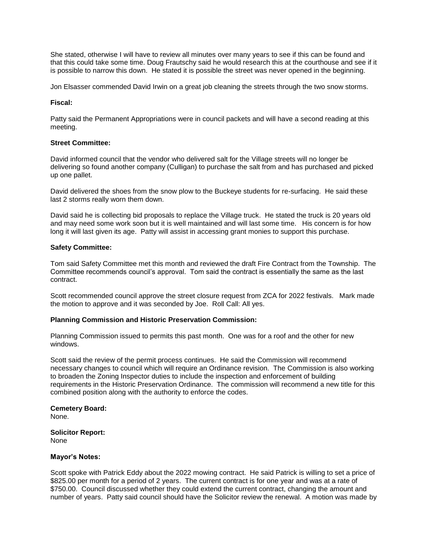She stated, otherwise I will have to review all minutes over many years to see if this can be found and that this could take some time. Doug Frautschy said he would research this at the courthouse and see if it is possible to narrow this down. He stated it is possible the street was never opened in the beginning.

Jon Elsasser commended David Irwin on a great job cleaning the streets through the two snow storms.

### **Fiscal:**

Patty said the Permanent Appropriations were in council packets and will have a second reading at this meeting.

## **Street Committee:**

David informed council that the vendor who delivered salt for the Village streets will no longer be delivering so found another company (Culligan) to purchase the salt from and has purchased and picked up one pallet.

David delivered the shoes from the snow plow to the Buckeye students for re-surfacing. He said these last 2 storms really worn them down.

David said he is collecting bid proposals to replace the Village truck. He stated the truck is 20 years old and may need some work soon but it is well maintained and will last some time. His concern is for how long it will last given its age. Patty will assist in accessing grant monies to support this purchase.

#### **Safety Committee:**

Tom said Safety Committee met this month and reviewed the draft Fire Contract from the Township. The Committee recommends council's approval. Tom said the contract is essentially the same as the last contract.

Scott recommended council approve the street closure request from ZCA for 2022 festivals. Mark made the motion to approve and it was seconded by Joe. Roll Call: All yes.

## **Planning Commission and Historic Preservation Commission:**

Planning Commission issued to permits this past month. One was for a roof and the other for new windows.

Scott said the review of the permit process continues. He said the Commission will recommend necessary changes to council which will require an Ordinance revision. The Commission is also working to broaden the Zoning Inspector duties to include the inspection and enforcement of building requirements in the Historic Preservation Ordinance. The commission will recommend a new title for this combined position along with the authority to enforce the codes.

#### **Cemetery Board:** None.

**Solicitor Report:** None

#### **Mayor's Notes:**

Scott spoke with Patrick Eddy about the 2022 mowing contract. He said Patrick is willing to set a price of \$825.00 per month for a period of 2 years. The current contract is for one year and was at a rate of \$750.00. Council discussed whether they could extend the current contract, changing the amount and number of years. Patty said council should have the Solicitor review the renewal. A motion was made by